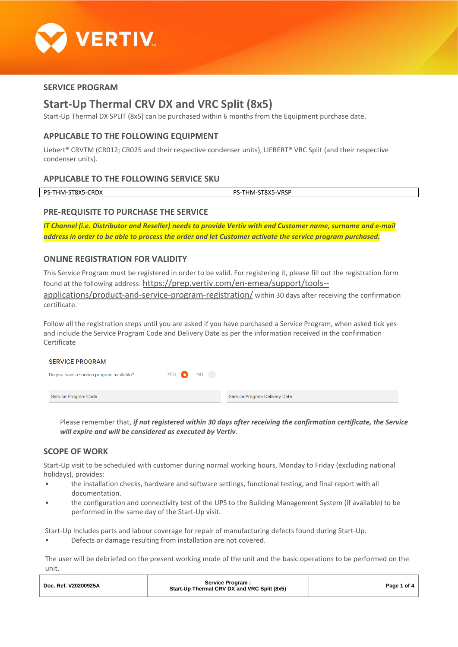

# **SERVICE PROGRAM**

# **Start-Up Thermal CRV DX and VRC Split (8x5)**

Start-Up Thermal DX SPLIT (8x5) can be purchased within 6 months from the Equipment purchase date.

# **APPLICABLE TO THE FOLLOWING EQUIPMENT**

Liebert® CRVTM (CR012; CR025 and their respective condenser units), LIEBERT® VRC Split (and their respective condenser units).

# **APPLICABLE TO THE FOLLOWING SERVICE SKU**

| PS-<br>$\mathbf{a}$<br>HM.<br>╮.<br>כגמו כ-<br>しいレハ<br>ັ | <b>MDCD</b><br>$\cdot$<br>nс<br>1 IV/L<br>…ר ∨−י<br>تەە ب<br>. |
|----------------------------------------------------------|----------------------------------------------------------------|

# **PRE-REQUISITE TO PURCHASE THE SERVICE**

*IT Channel (i.e. Distributor and Reseller) needs to provide Vertiv with end Customer name, surname and e-mail address in order to be able to process the order and let Customer activate the service program purchased.*

# **ONLINE REGISTRATION FOR VALIDITY**

This Service Program must be registered in order to be valid. For registering it, please fill out the registration form found at the following address: [https://prep.vertiv.com/en-emea/support/tools-](https://prep.vertiv.com/en-emea/support/tools--applications/product-and-service-program-registration/) [applications/product-and-service-program-registration/](https://prep.vertiv.com/en-emea/support/tools--applications/product-and-service-program-registration/) within 30 days after receiving the confirmation certificate.

Follow all the registration steps until you are asked if you have purchased a Service Program, when asked tick yes and include the Service Program Code and Delivery Date as per the information received in the confirmation Certificate

#### **SERVICE PROGRAM** YES <sup>1</sup> NO<sub>1</sub> Do you have a service program available? Service Program Code Service Program Delivery Date

Please remember that, *if not registered within 30 days after receiving the confirmation certificate, the Service will expire and will be considered as executed by Vertiv*.

# **SCOPE OF WORK**

Start-Up visit to be scheduled with customer during normal working hours, Monday to Friday (excluding national holidays), provides:

- the installation checks, hardware and software settings, functional testing, and final report with all documentation.
- the configuration and connectivity test of the UPS to the Building Management System (if available) to be performed in the same day of the Start-Up visit.

Start-Up Includes parts and labour coverage for repair of manufacturing defects found during Start-Up.

Defects or damage resulting from installation are not covered.

The user will be debriefed on the present working mode of the unit and the basic operations to be performed on the unit.

| Doc. Ref. V20200925A | Service Program:<br>Start-Up Thermal CRV DX and VRC Split (8x5) | Page 1 of 4 |
|----------------------|-----------------------------------------------------------------|-------------|
|                      |                                                                 |             |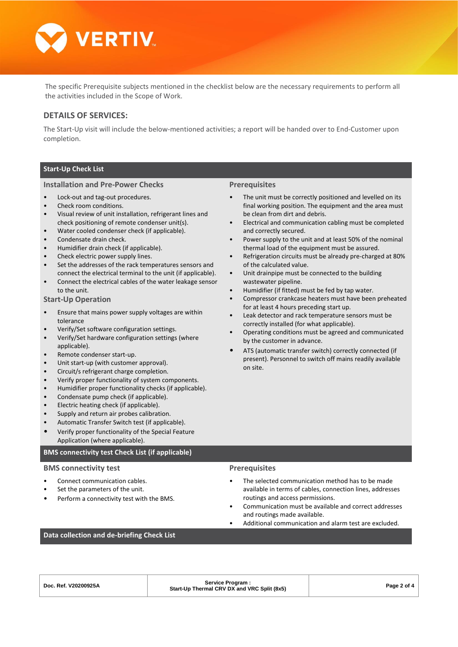

The specific Prerequisite subjects mentioned in the checklist below are the necessary requirements to perform all the activities included in the Scope of Work.

### **DETAILS OF SERVICES:**

The Start-Up visit will include the below-mentioned activities; a report will be handed over to End-Customer upon completion.

### **Start-Up Check List**

#### **Installation and Pre-Power Checks**

- Lock-out and tag-out procedures.
- Check room conditions.
- Visual review of unit installation, refrigerant lines and check positioning of remote condenser unit(s).
- Water cooled condenser check (if applicable).
- Condensate drain check.
- Humidifier drain check (if applicable).
- Check electric power supply lines.
- Set the addresses of the rack temperatures sensors and connect the electrical terminal to the unit (if applicable).
- Connect the electrical cables of the water leakage sensor to the unit.

#### **Start-Up Operation**

- Ensure that mains power supply voltages are within tolerance
- Verify/Set software configuration settings.
- Verify/Set hardware configuration settings (where applicable).
- Remote condenser start-up.
- Unit start-up (with customer approval).
- Circuit/s refrigerant charge completion.
- Verify proper functionality of system components.
- Humidifier proper functionality checks (if applicable).
- Condensate pump check (if applicable).
- Electric heating check (if applicable).
- Supply and return air probes calibration.
- Automatic Transfer Switch test (if applicable).
- Verify proper functionality of the Special Feature Application (where applicable).

#### **BMS connectivity test Check List (if applicable)**

#### **BMS connectivity test**

- Connect communication cables.
- Set the parameters of the unit.
- Perform a connectivity test with the BMS.

#### **Prerequisites**

- The unit must be correctly positioned and levelled on its final working position. The equipment and the area must be clean from dirt and debris.
- Electrical and communication cabling must be completed and correctly secured.
- Power supply to the unit and at least 50% of the nominal thermal load of the equipment must be assured.
- Refrigeration circuits must be already pre-charged at 80% of the calculated value.
- Unit drainpipe must be connected to the building wastewater pipeline.
- Humidifier (if fitted) must be fed by tap water.
- Compressor crankcase heaters must have been preheated for at least 4 hours preceding start up.
- Leak detector and rack temperature sensors must be correctly installed (for what applicable).
- Operating conditions must be agreed and communicated by the customer in advance.
- ATS (automatic transfer switch) correctly connected (if present). Personnel to switch off mains readily available on site.

### **Prerequisites**

- The selected communication method has to be made available in terms of cables, connection lines, addresses routings and access permissions.
- Communication must be available and correct addresses and routings made available.
- Additional communication and alarm test are excluded.

### **Data collection and de-briefing Check List**

| Doc. Ref. V20200925A | Service Program:<br>Start-Up Thermal CRV DX and VRC Split (8x5) | Page 2 of 4 |
|----------------------|-----------------------------------------------------------------|-------------|
|                      |                                                                 |             |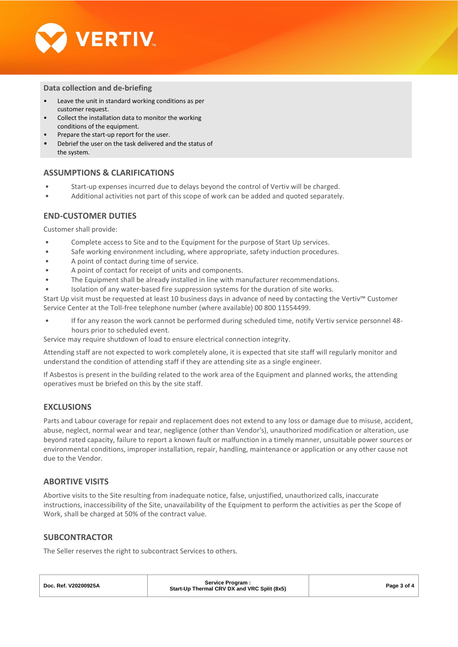

### **Data collection and de-briefing**

- Leave the unit in standard working conditions as per customer request.
- Collect the installation data to monitor the working conditions of the equipment.
- Prepare the start-up report for the user.
- Debrief the user on the task delivered and the status of the system.

### **ASSUMPTIONS & CLARIFICATIONS**

- Start-up expenses incurred due to delays beyond the control of Vertiv will be charged.
- Additional activities not part of this scope of work can be added and quoted separately.

# **END-CUSTOMER DUTIES**

Customer shall provide:

- Complete access to Site and to the Equipment for the purpose of Start Up services.
- Safe working environment including, where appropriate, safety induction procedures.
- A point of contact during time of service.
- A point of contact for receipt of units and components.
- The Equipment shall be already installed in line with manufacturer recommendations.
- Isolation of any water-based fire suppression systems for the duration of site works.

Start Up visit must be requested at least 10 business days in advance of need by contacting the Vertiv™ Customer Service Center at the Toll-free telephone number (where available) 00 800 11554499.

• If for any reason the work cannot be performed during scheduled time, notify Vertiv service personnel 48 hours prior to scheduled event.

Service may require shutdown of load to ensure electrical connection integrity.

Attending staff are not expected to work completely alone, it is expected that site staff will regularly monitor and understand the condition of attending staff if they are attending site as a single engineer.

If Asbestos is present in the building related to the work area of the Equipment and planned works, the attending operatives must be briefed on this by the site staff.

# **EXCLUSIONS**

Parts and Labour coverage for repair and replacement does not extend to any loss or damage due to misuse, accident, abuse, neglect, normal wear and tear, negligence (other than Vendor's), unauthorized modification or alteration, use beyond rated capacity, failure to report a known fault or malfunction in a timely manner, unsuitable power sources or environmental conditions, improper installation, repair, handling, maintenance or application or any other cause not due to the Vendor.

### **ABORTIVE VISITS**

Abortive visits to the Site resulting from inadequate notice, false, unjustified, unauthorized calls, inaccurate instructions, inaccessibility of the Site, unavailability of the Equipment to perform the activities as per the Scope of Work, shall be charged at 50% of the contract value.

### **SUBCONTRACTOR**

The Seller reserves the right to subcontract Services to others.

| Doc. Ref. V20200925A | Service Program:<br>Start-Up Thermal CRV DX and VRC Split (8x5) | Page 3 of 4 |
|----------------------|-----------------------------------------------------------------|-------------|
|                      |                                                                 |             |